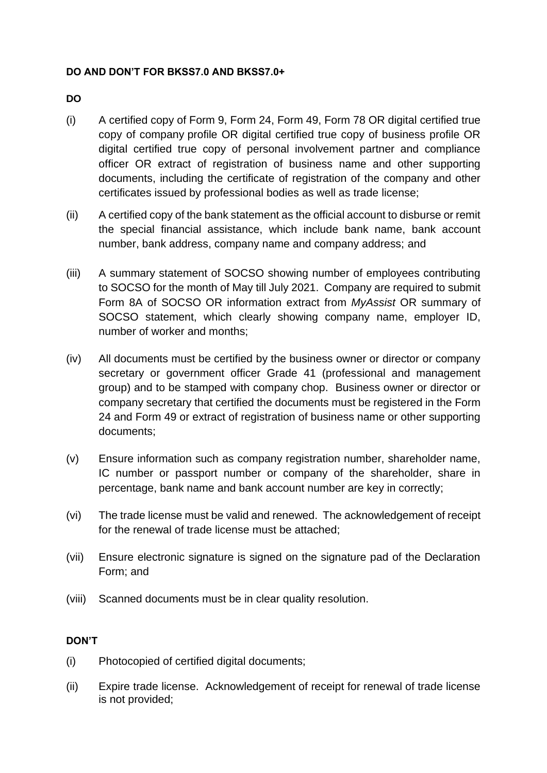## **DO AND DON'T FOR BKSS7.0 AND BKSS7.0+**

## **DO**

- (i) A certified copy of Form 9, Form 24, Form 49, Form 78 OR digital certified true copy of company profile OR digital certified true copy of business profile OR digital certified true copy of personal involvement partner and compliance officer OR extract of registration of business name and other supporting documents, including the certificate of registration of the company and other certificates issued by professional bodies as well as trade license;
- (ii) A certified copy of the bank statement as the official account to disburse or remit the special financial assistance, which include bank name, bank account number, bank address, company name and company address; and
- (iii) A summary statement of SOCSO showing number of employees contributing to SOCSO for the month of May till July 2021. Company are required to submit Form 8A of SOCSO OR information extract from *MyAssist* OR summary of SOCSO statement, which clearly showing company name, employer ID, number of worker and months;
- (iv) All documents must be certified by the business owner or director or company secretary or government officer Grade 41 (professional and management group) and to be stamped with company chop. Business owner or director or company secretary that certified the documents must be registered in the Form 24 and Form 49 or extract of registration of business name or other supporting documents;
- (v) Ensure information such as company registration number, shareholder name, IC number or passport number or company of the shareholder, share in percentage, bank name and bank account number are key in correctly;
- (vi) The trade license must be valid and renewed. The acknowledgement of receipt for the renewal of trade license must be attached;
- (vii) Ensure electronic signature is signed on the signature pad of the Declaration Form; and
- (viii) Scanned documents must be in clear quality resolution.

## **DON'T**

- (i) Photocopied of certified digital documents;
- (ii) Expire trade license. Acknowledgement of receipt for renewal of trade license is not provided;